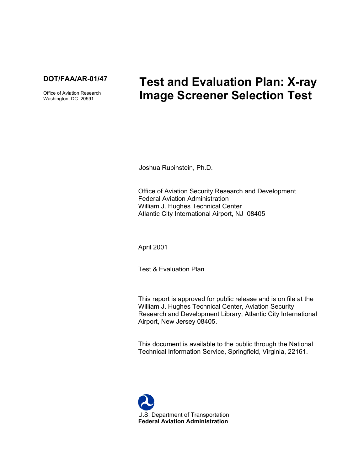

Office of Aviation Research Washington, DC 20591

# **Test and Evaluation Plan: X-ray Image Screener Selection Test**

Joshua Rubinstein, Ph.D.

Office of Aviation Security Research and Development Federal Aviation Administration William J. Hughes Technical Center Atlantic City International Airport, NJ 08405

April 2001

Test & Evaluation Plan

This report is approved for public release and is on file at the William J. Hughes Technical Center, Aviation Security Research and Development Library, Atlantic City International Airport, New Jersey 08405.

This document is available to the public through the National Technical Information Service, Springfield, Virginia, 22161.

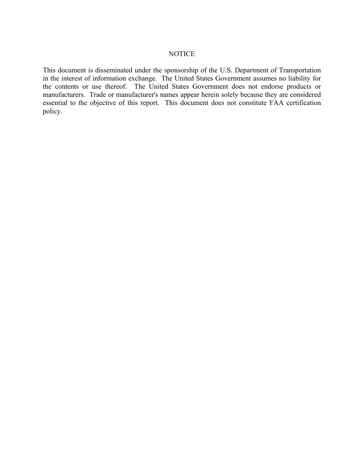#### **NOTICE**

This document is disseminated under the sponsorship of the U.S. Department of Transportation in the interest of information exchange. The United States Government assumes no liability for the contents or use thereof. The United States Government does not endorse products or manufacturers. Trade or manufacturer's names appear herein solely because they are considered essential to the objective of this report. This document does not constitute FAA certification policy.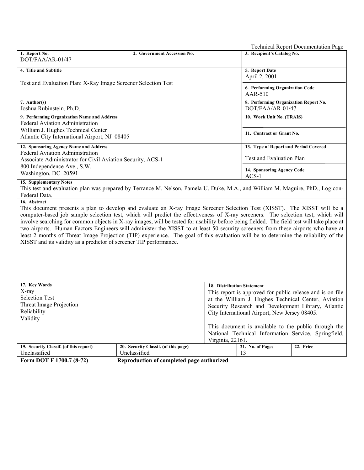|                                                                                                                                                                                                                                                                                                                                                                                                                                                                                                                                                                                                                                                                                                                                                                                |                                                                          | <b>Technical Report Documentation Page</b>                                                                                     |  |  |  |  |
|--------------------------------------------------------------------------------------------------------------------------------------------------------------------------------------------------------------------------------------------------------------------------------------------------------------------------------------------------------------------------------------------------------------------------------------------------------------------------------------------------------------------------------------------------------------------------------------------------------------------------------------------------------------------------------------------------------------------------------------------------------------------------------|--------------------------------------------------------------------------|--------------------------------------------------------------------------------------------------------------------------------|--|--|--|--|
| 1. Report No.                                                                                                                                                                                                                                                                                                                                                                                                                                                                                                                                                                                                                                                                                                                                                                  | 2. Government Accession No.                                              | 3. Recipient's Catalog No.                                                                                                     |  |  |  |  |
| DOT/FAA/AR-01/47                                                                                                                                                                                                                                                                                                                                                                                                                                                                                                                                                                                                                                                                                                                                                               |                                                                          |                                                                                                                                |  |  |  |  |
| 4. Title and Subtitle                                                                                                                                                                                                                                                                                                                                                                                                                                                                                                                                                                                                                                                                                                                                                          |                                                                          | 5. Report Date                                                                                                                 |  |  |  |  |
| Test and Evaluation Plan: X-Ray Image Screener Selection Test                                                                                                                                                                                                                                                                                                                                                                                                                                                                                                                                                                                                                                                                                                                  |                                                                          | April 2, 2001                                                                                                                  |  |  |  |  |
|                                                                                                                                                                                                                                                                                                                                                                                                                                                                                                                                                                                                                                                                                                                                                                                | 6. Performing Organization Code                                          |                                                                                                                                |  |  |  |  |
|                                                                                                                                                                                                                                                                                                                                                                                                                                                                                                                                                                                                                                                                                                                                                                                | AAR-510                                                                  |                                                                                                                                |  |  |  |  |
| 7. Author(s)<br>Joshua Rubinstein, Ph.D.                                                                                                                                                                                                                                                                                                                                                                                                                                                                                                                                                                                                                                                                                                                                       | 8. Performing Organization Report No.<br>DOT/FAA/AR-01/47                |                                                                                                                                |  |  |  |  |
| 9. Performing Organization Name and Address                                                                                                                                                                                                                                                                                                                                                                                                                                                                                                                                                                                                                                                                                                                                    | 10. Work Unit No. (TRAIS)                                                |                                                                                                                                |  |  |  |  |
| Federal Aviation Administration                                                                                                                                                                                                                                                                                                                                                                                                                                                                                                                                                                                                                                                                                                                                                |                                                                          |                                                                                                                                |  |  |  |  |
| William J. Hughes Technical Center                                                                                                                                                                                                                                                                                                                                                                                                                                                                                                                                                                                                                                                                                                                                             |                                                                          | 11. Contract or Grant No.                                                                                                      |  |  |  |  |
| Atlantic City International Airport, NJ 08405                                                                                                                                                                                                                                                                                                                                                                                                                                                                                                                                                                                                                                                                                                                                  |                                                                          |                                                                                                                                |  |  |  |  |
| 12. Sponsoring Agency Name and Address                                                                                                                                                                                                                                                                                                                                                                                                                                                                                                                                                                                                                                                                                                                                         |                                                                          | 13. Type of Report and Period Covered                                                                                          |  |  |  |  |
| <b>Federal Aviation Administration</b>                                                                                                                                                                                                                                                                                                                                                                                                                                                                                                                                                                                                                                                                                                                                         |                                                                          | Test and Evaluation Plan                                                                                                       |  |  |  |  |
| Associate Administrator for Civil Aviation Security, ACS-1<br>800 Independence Ave., S.W.                                                                                                                                                                                                                                                                                                                                                                                                                                                                                                                                                                                                                                                                                      |                                                                          |                                                                                                                                |  |  |  |  |
| Washington, DC 20591                                                                                                                                                                                                                                                                                                                                                                                                                                                                                                                                                                                                                                                                                                                                                           |                                                                          | 14. Sponsoring Agency Code                                                                                                     |  |  |  |  |
| <b>15. Supplementary Notes</b>                                                                                                                                                                                                                                                                                                                                                                                                                                                                                                                                                                                                                                                                                                                                                 |                                                                          | $ACS-1$                                                                                                                        |  |  |  |  |
|                                                                                                                                                                                                                                                                                                                                                                                                                                                                                                                                                                                                                                                                                                                                                                                |                                                                          | This test and evaluation plan was prepared by Terrance M. Nelson, Pamela U. Duke, M.A., and William M. Maguire, PhD., Logicon- |  |  |  |  |
| Federal Data.                                                                                                                                                                                                                                                                                                                                                                                                                                                                                                                                                                                                                                                                                                                                                                  |                                                                          |                                                                                                                                |  |  |  |  |
| 16. Abstract<br>This document presents a plan to develop and evaluate an X-ray Image Screener Selection Test (XISST). The XISST will be a<br>computer-based job sample selection test, which will predict the effectiveness of X-ray screeners. The selection test, which will<br>involve searching for common objects in X-ray images, will be tested for usability before being fielded. The field test will take place at<br>two airports. Human Factors Engineers will administer the XISST to at least 50 security screeners from these airports who have at<br>least 2 months of Threat Image Projection (TIP) experience. The goal of this evaluation will be to determine the reliability of the<br>XISST and its validity as a predictor of screener TIP performance. |                                                                          |                                                                                                                                |  |  |  |  |
|                                                                                                                                                                                                                                                                                                                                                                                                                                                                                                                                                                                                                                                                                                                                                                                |                                                                          |                                                                                                                                |  |  |  |  |
| 17. Key Words<br>X-ray                                                                                                                                                                                                                                                                                                                                                                                                                                                                                                                                                                                                                                                                                                                                                         |                                                                          | 18. Distribution Statement                                                                                                     |  |  |  |  |
| <b>Selection Test</b>                                                                                                                                                                                                                                                                                                                                                                                                                                                                                                                                                                                                                                                                                                                                                          |                                                                          | This report is approved for public release and is on file<br>at the William J. Hughes Technical Center, Aviation               |  |  |  |  |
| Threat Image Projection                                                                                                                                                                                                                                                                                                                                                                                                                                                                                                                                                                                                                                                                                                                                                        |                                                                          | Security Research and Development Library, Atlantic                                                                            |  |  |  |  |
| Reliability                                                                                                                                                                                                                                                                                                                                                                                                                                                                                                                                                                                                                                                                                                                                                                    |                                                                          | City International Airport, New Jersey 08405.                                                                                  |  |  |  |  |
| Validity                                                                                                                                                                                                                                                                                                                                                                                                                                                                                                                                                                                                                                                                                                                                                                       |                                                                          |                                                                                                                                |  |  |  |  |
|                                                                                                                                                                                                                                                                                                                                                                                                                                                                                                                                                                                                                                                                                                                                                                                |                                                                          | This document is available to the public through the                                                                           |  |  |  |  |
|                                                                                                                                                                                                                                                                                                                                                                                                                                                                                                                                                                                                                                                                                                                                                                                | National Technical Information Service, Springfield,<br>Virginia, 22161. |                                                                                                                                |  |  |  |  |
| 19. Security Classif. (of this report)                                                                                                                                                                                                                                                                                                                                                                                                                                                                                                                                                                                                                                                                                                                                         | 20. Security Classif. (of this page)                                     | 21. No. of Pages<br>22. Price                                                                                                  |  |  |  |  |
| Unclassified                                                                                                                                                                                                                                                                                                                                                                                                                                                                                                                                                                                                                                                                                                                                                                   | Unclassified                                                             | 13                                                                                                                             |  |  |  |  |
| Form DOT F 1700.7 (8-72)<br>Reproduction of completed page authorized                                                                                                                                                                                                                                                                                                                                                                                                                                                                                                                                                                                                                                                                                                          |                                                                          |                                                                                                                                |  |  |  |  |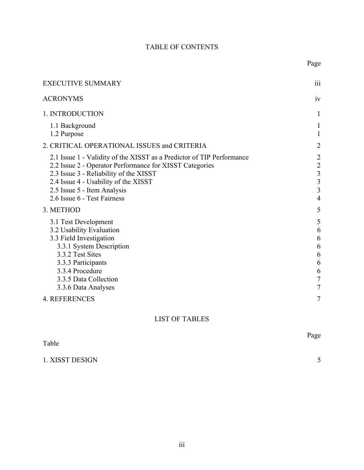# TABLE OF CONTENTS

Page

| <b>EXECUTIVE SUMMARY</b>                                                                                                                                                                                                                                                         | 111                                                                                              |
|----------------------------------------------------------------------------------------------------------------------------------------------------------------------------------------------------------------------------------------------------------------------------------|--------------------------------------------------------------------------------------------------|
| ACRONYMS                                                                                                                                                                                                                                                                         | iv                                                                                               |
| 1. INTRODUCTION                                                                                                                                                                                                                                                                  | 1                                                                                                |
| 1.1 Background<br>1.2 Purpose                                                                                                                                                                                                                                                    | 1<br>$\mathbf{1}$                                                                                |
| 2. CRITICAL OPERATIONAL ISSUES and CRITERIA                                                                                                                                                                                                                                      | $\overline{2}$                                                                                   |
| 2.1 Issue 1 - Validity of the XISST as a Predictor of TIP Performance<br>2.2 Issue 2 - Operator Performance for XISST Categories<br>2.3 Issue 3 - Reliability of the XISST<br>2.4 Issue 4 - Usability of the XISST<br>2.5 Issue 5 - Item Analysis<br>2.6 Issue 6 - Test Fairness | $\overline{c}$<br>$\begin{array}{c} 2 \\ 3 \\ 3 \end{array}$<br>$\overline{3}$<br>$\overline{4}$ |
| 3. METHOD                                                                                                                                                                                                                                                                        | 5                                                                                                |
| 3.1 Test Development<br>3.2 Usability Evaluation<br>3.3 Field Investigation<br>3.3.1 System Description<br>3.3.2 Test Sites<br>3.3.3 Participants<br>3.3.4 Procedure<br>3.3.5 Data Collection<br>3.3.6 Data Analyses                                                             | 5<br>6<br>6<br>6<br>6<br>6<br>6<br>$\overline{7}$<br>$\overline{7}$                              |
| <b>4. REFERENCES</b>                                                                                                                                                                                                                                                             | 7                                                                                                |
|                                                                                                                                                                                                                                                                                  |                                                                                                  |

# LIST OF TABLES

|                 | Page        |
|-----------------|-------------|
| Table           |             |
|                 |             |
| 1. XISST DESIGN | $\leq$<br>ັ |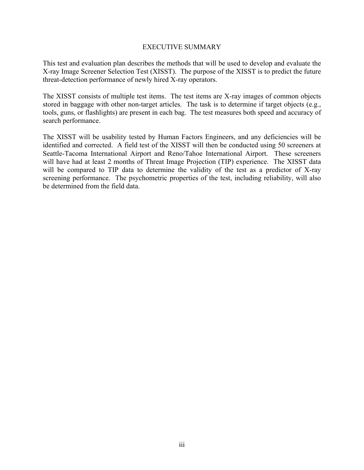#### EXECUTIVE SUMMARY

<span id="page-4-0"></span>This test and evaluation plan describes the methods that will be used to develop and evaluate the X-ray Image Screener Selection Test (XISST). The purpose of the XISST is to predict the future threat-detection performance of newly hired X-ray operators.

The XISST consists of multiple test items. The test items are X-ray images of common objects stored in baggage with other non-target articles. The task is to determine if target objects (e.g., tools, guns, or flashlights) are present in each bag. The test measures both speed and accuracy of search performance.

The XISST will be usability tested by Human Factors Engineers, and any deficiencies will be identified and corrected. A field test of the XISST will then be conducted using 50 screeners at Seattle-Tacoma International Airport and Reno/Tahoe International Airport. These screeners will have had at least 2 months of Threat Image Projection (TIP) experience. The XISST data will be compared to TIP data to determine the validity of the test as a predictor of X-ray screening performance. The psychometric properties of the test, including reliability, will also be determined from the field data.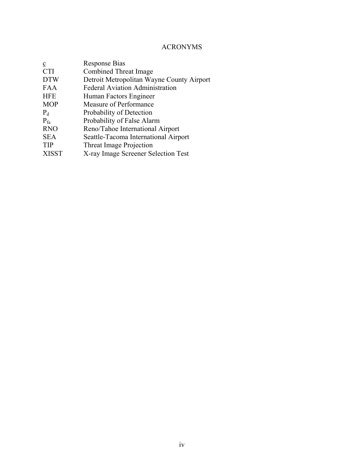# ACRONYMS

<span id="page-5-0"></span>

| Response Bias                             |
|-------------------------------------------|
| <b>Combined Threat Image</b>              |
| Detroit Metropolitan Wayne County Airport |
| <b>Federal Aviation Administration</b>    |
| Human Factors Engineer                    |
| Measure of Performance                    |
| Probability of Detection                  |
| Probability of False Alarm                |
| Reno/Tahoe International Airport          |
| Seattle-Tacoma International Airport      |
| <b>Threat Image Projection</b>            |
| X-ray Image Screener Selection Test       |
|                                           |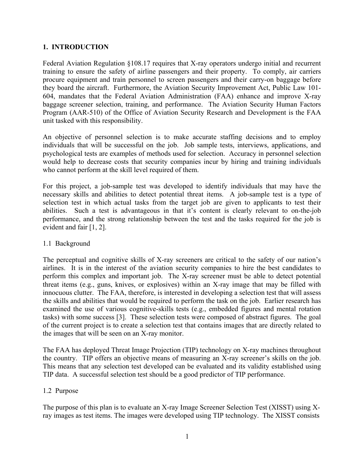# <span id="page-6-0"></span>**1. INTRODUCTION**

Federal Aviation Regulation §108.17 requires that X-ray operators undergo initial and recurrent training to ensure the safety of airline passengers and their property. To comply, air carriers procure equipment and train personnel to screen passengers and their carry-on baggage before they board the aircraft. Furthermore, the Aviation Security Improvement Act, Public Law 101- 604, mandates that the Federal Aviation Administration (FAA) enhance and improve X-ray baggage screener selection, training, and performance. The Aviation Security Human Factors Program (AAR-510) of the Office of Aviation Security Research and Development is the FAA unit tasked with this responsibility.

An objective of personnel selection is to make accurate staffing decisions and to employ individuals that will be successful on the job. Job sample tests, interviews, applications, and psychological tests are examples of methods used for selection. Accuracy in personnel selection would help to decrease costs that security companies incur by hiring and training individuals who cannot perform at the skill level required of them.

For this project, a job-sample test was developed to identify individuals that may have the necessary skills and abilities to detect potential threat items. A job-sample test is a type of selection test in which actual tasks from the target job are given to applicants to test their abilities. Such a test is advantageous in that it's content is clearly relevant to on-the-job performance, and the strong relationship between the test and the tasks required for the job is evident and fair [1, 2].

#### 1.1 Background

The perceptual and cognitive skills of X-ray screeners are critical to the safety of our nation's airlines. It is in the interest of the aviation security companies to hire the best candidates to perform this complex and important job. The X-ray screener must be able to detect potential threat items (e.g., guns, knives, or explosives) within an X-ray image that may be filled with innocuous clutter. The FAA, therefore, is interested in developing a selection test that will assess the skills and abilities that would be required to perform the task on the job. Earlier research has examined the use of various cognitive-skills tests (e.g., embedded figures and mental rotation tasks) with some success [3]. These selection tests were composed of abstract figures. The goal of the current project is to create a selection test that contains images that are directly related to the images that will be seen on an X-ray monitor.

The FAA has deployed Threat Image Projection (TIP) technology on X-ray machines throughout the country. TIP offers an objective means of measuring an X-ray screener's skills on the job. This means that any selection test developed can be evaluated and its validity established using TIP data. A successful selection test should be a good predictor of TIP performance.

#### 1.2 Purpose

The purpose of this plan is to evaluate an X-ray Image Screener Selection Test (XISST) using Xray images as test items. The images were developed using TIP technology. The XISST consists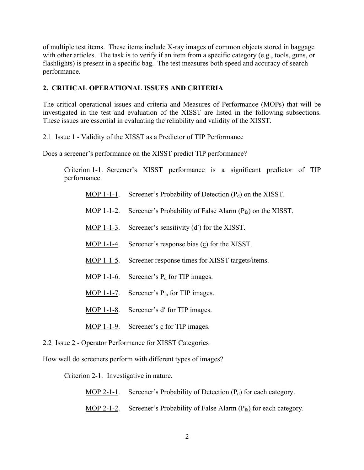<span id="page-7-0"></span>of multiple test items. These items include X-ray images of common objects stored in baggage with other articles. The task is to verify if an item from a specific category (e.g., tools, guns, or flashlights) is present in a specific bag. The test measures both speed and accuracy of search performance.

# **2. CRITICAL OPERATIONAL ISSUES AND CRITERIA**

The critical operational issues and criteria and Measures of Performance (MOPs) that will be investigated in the test and evaluation of the XISST are listed in the following subsections. These issues are essential in evaluating the reliability and validity of the XISST.

2.1 Issue 1 - Validity of the XISST as a Predictor of TIP Performance

Does a screener's performance on the XISST predict TIP performance?

Criterion 1-1. Screener's XISST performance is a significant predictor of TIP performance.

- MOP 1-1-1. Screener's Probability of Detection  $(P_d)$  on the XISST.
- MOP 1-1-2. Screener's Probability of False Alarm  $(P_{fa})$  on the XISST.
- MOP 1-1-3. Screener's sensitivity (d') for the XISST.
- MOP 1-1-4. Screener's response bias  $(c)$  for the XISST.
- MOP 1-1-5. Screener response times for XISST targets/items.
- MOP 1-1-6. Screener's  $P_d$  for TIP images.
- MOP 1-1-7. Screener's  $P_{fa}$  for TIP images.
- MOP 1-1-8. Screener's d' for TIP images.
- MOP 1-1-9. Screener's c for TIP images.
- 2.2 Issue 2 Operator Performance for XISST Categories

How well do screeners perform with different types of images?

Criterion 2-1. Investigative in nature.

- MOP 2-1-1. Screener's Probability of Detection  $(P_d)$  for each category.
- MOP 2-1-2. Screener's Probability of False Alarm  $(P_{fa})$  for each category.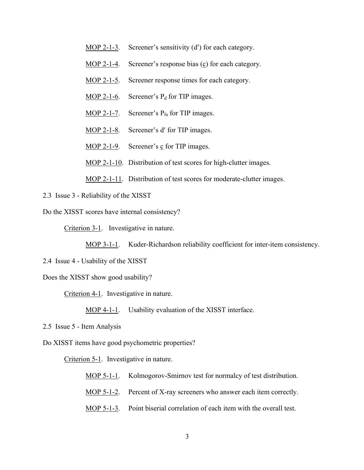- <span id="page-8-0"></span>MOP 2-1-3. Screener's sensitivity (d') for each category.
- MOP 2-1-4. Screener's response bias (c) for each category.
- MOP 2-1-5. Screener response times for each category.
- MOP 2-1-6. Screener's  $P_d$  for TIP images.
- MOP 2-1-7. Screener's  $P_{fa}$  for TIP images.
- MOP 2-1-8. Screener's d' for TIP images.
- MOP 2-1-9. Screener's  $\frac{c}{c}$  for TIP images.

MOP 2-1-10. Distribution of test scores for high-clutter images.

MOP 2-1-11. Distribution of test scores for moderate-clutter images.

2.3 Issue 3 - Reliability of the XISST

Do the XISST scores have internal consistency?

Criterion 3-1. Investigative in nature.

MOP 3-1-1. Kuder-Richardson reliability coefficient for inter-item consistency.

- 2.4 Issue 4 Usability of the XISST
- Does the XISST show good usability?

Criterion 4-1. Investigative in nature.

MOP 4-1-1. Usability evaluation of the XISST interface.

2.5 Issue 5 - Item Analysis

Do XISST items have good psychometric properties?

Criterion 5-1. Investigative in nature.

- MOP 5-1-1. Kolmogorov-Smirnov test for normalcy of test distribution.
- MOP 5-1-2. Percent of X-ray screeners who answer each item correctly.
- MOP 5-1-3. Point biserial correlation of each item with the overall test.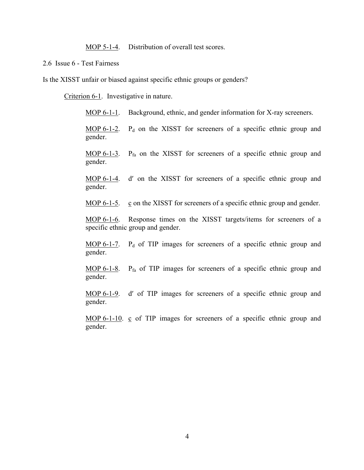MOP 5-1-4. Distribution of overall test scores.

<span id="page-9-0"></span>2.6 Issue 6 - Test Fairness

Is the XISST unfair or biased against specific ethnic groups or genders?

Criterion 6-1. Investigative in nature.

MOP 6-1-1. Background, ethnic, and gender information for X-ray screeners.

 $\underline{MOP}$  6-1-2. P<sub>d</sub> on the XISST for screeners of a specific ethnic group and gender.

MOP 6-1-3.  $P_{fa}$  on the XISST for screeners of a specific ethnic group and gender.

MOP 6-1-4. d′ on the XISST for screeners of a specific ethnic group and gender.

MOP  $6-1-5$ . c on the XISST for screeners of a specific ethnic group and gender.

MOP 6-1-6. Response times on the XISST targets/items for screeners of a specific ethnic group and gender.

 $\underline{MOP}$  6-1-7. P<sub>d</sub> of TIP images for screeners of a specific ethnic group and gender.

MOP 6-1-8.  $P_{fa}$  of TIP images for screeners of a specific ethnic group and gender.

MOP 6-1-9. d′ of TIP images for screeners of a specific ethnic group and gender.

MOP 6-1-10. c of TIP images for screeners of a specific ethnic group and gender.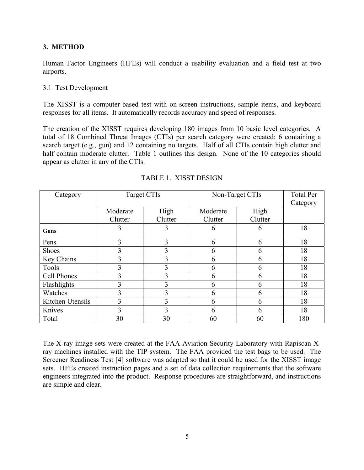# <span id="page-10-0"></span>**3. METHOD**

Human Factor Engineers (HFEs) will conduct a usability evaluation and a field test at two airports.

#### 3.1 Test Development

The XISST is a computer-based test with on-screen instructions, sample items, and keyboard responses for all items. It automatically records accuracy and speed of responses.

The creation of the XISST requires developing 180 images from 10 basic level categories. A total of 18 Combined Threat Images (CTIs) per search category were created: 6 containing a search target (e.g., gun) and 12 containing no targets. Half of all CTIs contain high clutter and half contain moderate clutter. Table 1 outlines this design. None of the 10 categories should appear as clutter in any of the CTIs.

| Category         | Target CTIs |         | Non-Target CTIs |         | <b>Total Per</b><br>Category |
|------------------|-------------|---------|-----------------|---------|------------------------------|
|                  | Moderate    | High    | Moderate        | High    |                              |
|                  | Clutter     | Clutter | Clutter         | Clutter |                              |
| Guns             | 3           | 3       | 6               | 6       | 18                           |
| Pens             | 3           | 3       | 6               | 6       | 18                           |
| <b>Shoes</b>     | 3           | 3       | 6               | 6       | 18                           |
| Key Chains       | 3           | 3       | 6               | 6       | 18                           |
| Tools            | 3           | 3       | 6               | 6       | 18                           |
| Cell Phones      | 3           | 3       | 6               | 6       | 18                           |
| Flashlights      | 3           | 3       | 6               | 6       | 18                           |
| Watches          | 3           | 3       | 6               | 6       | 18                           |
| Kitchen Utensils | 3           | 3       | 6               | 6       | 18                           |
| Knives           | 3           | 3       | 6               | 6       | 18                           |
| Total            | 30          | 30      | 60              | 60      | 180                          |

#### TABLE 1. XISST DESIGN

The X-ray image sets were created at the FAA Aviation Security Laboratory with Rapiscan Xray machines installed with the TIP system. The FAA provided the test bags to be used. The Screener Readiness Test [4] software was adapted so that it could be used for the XISST image sets. HFEs created instruction pages and a set of data collection requirements that the software engineers integrated into the product. Response procedures are straightforward, and instructions are simple and clear.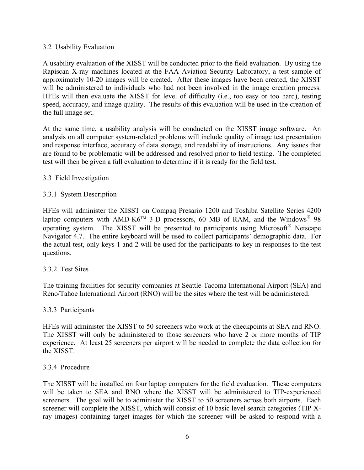## <span id="page-11-0"></span>3.2 Usability Evaluation

A usability evaluation of the XISST will be conducted prior to the field evaluation. By using the Rapiscan X-ray machines located at the FAA Aviation Security Laboratory, a test sample of approximately 10-20 images will be created. After these images have been created, the XISST will be administered to individuals who had not been involved in the image creation process. HFEs will then evaluate the XISST for level of difficulty (i.e., too easy or too hard), testing speed, accuracy, and image quality. The results of this evaluation will be used in the creation of the full image set.

At the same time, a usability analysis will be conducted on the XISST image software. An analysis on all computer system-related problems will include quality of image test presentation and response interface, accuracy of data storage, and readability of instructions. Any issues that are found to be problematic will be addressed and resolved prior to field testing. The completed test will then be given a full evaluation to determine if it is ready for the field test.

## 3.3 Field Investigation

## 3.3.1 System Description

HFEs will administer the XISST on Compaq Presario 1200 and Toshiba Satellite Series 4200 laptop computers with AMD-K6<sup>TM</sup> 3-D processors, 60 MB of RAM, and the Windows<sup>®</sup> 98 operating system. The XISST will be presented to participants using Microsoft Netscape Navigator 4.7. The entire keyboard will be used to collect participants' demographic data. For the actual test, only keys 1 and 2 will be used for the participants to key in responses to the test questions.

# 3.3.2 Test Sites

The training facilities for security companies at Seattle-Tacoma International Airport (SEA) and Reno/Tahoe International Airport (RNO) will be the sites where the test will be administered.

#### 3.3.3 Participants

HFEs will administer the XISST to 50 screeners who work at the checkpoints at SEA and RNO. The XISST will only be administered to those screeners who have 2 or more months of TIP experience. At least 25 screeners per airport will be needed to complete the data collection for the XISST.

#### 3.3.4 Procedure

The XISST will be installed on four laptop computers for the field evaluation. These computers will be taken to SEA and RNO where the XISST will be administered to TIP-experienced screeners. The goal will be to administer the XISST to 50 screeners across both airports. Each screener will complete the XISST, which will consist of 10 basic level search categories (TIP Xray images) containing target images for which the screener will be asked to respond with a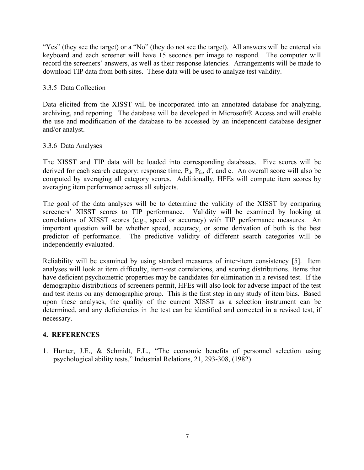<span id="page-12-0"></span>"Yes" (they see the target) or a "No" (they do not see the target). All answers will be entered via keyboard and each screener will have 15 seconds per image to respond. The computer will record the screeners' answers, as well as their response latencies. Arrangements will be made to download TIP data from both sites. These data will be used to analyze test validity.

# 3.3.5 Data Collection

Data elicited from the XISST will be incorporated into an annotated database for analyzing, archiving, and reporting. The database will be developed in Microsoft® Access and will enable the use and modification of the database to be accessed by an independent database designer and/or analyst.

## 3.3.6 Data Analyses

The XISST and TIP data will be loaded into corresponding databases. Five scores will be derived for each search category: response time,  $P_d$ ,  $P_{fa}$ ,  $d'$ , and c. An overall score will also be computed by averaging all category scores. Additionally, HFEs will compute item scores by averaging item performance across all subjects.

The goal of the data analyses will be to determine the validity of the XISST by comparing screeners' XISST scores to TIP performance. Validity will be examined by looking at correlations of XISST scores (e.g., speed or accuracy) with TIP performance measures. An important question will be whether speed, accuracy, or some derivation of both is the best predictor of performance. The predictive validity of different search categories will be independently evaluated.

Reliability will be examined by using standard measures of inter-item consistency [5]. Item analyses will look at item difficulty, item-test correlations, and scoring distributions. Items that have deficient psychometric properties may be candidates for elimination in a revised test. If the demographic distributions of screeners permit, HFEs will also look for adverse impact of the test and test items on any demographic group. This is the first step in any study of item bias. Based upon these analyses, the quality of the current XISST as a selection instrument can be determined, and any deficiencies in the test can be identified and corrected in a revised test, if necessary.

# **4. REFERENCES**

1. Hunter, J.E., & Schmidt, F.L., "The economic benefits of personnel selection using psychological ability tests," Industrial Relations, 21, 293-308, (1982)